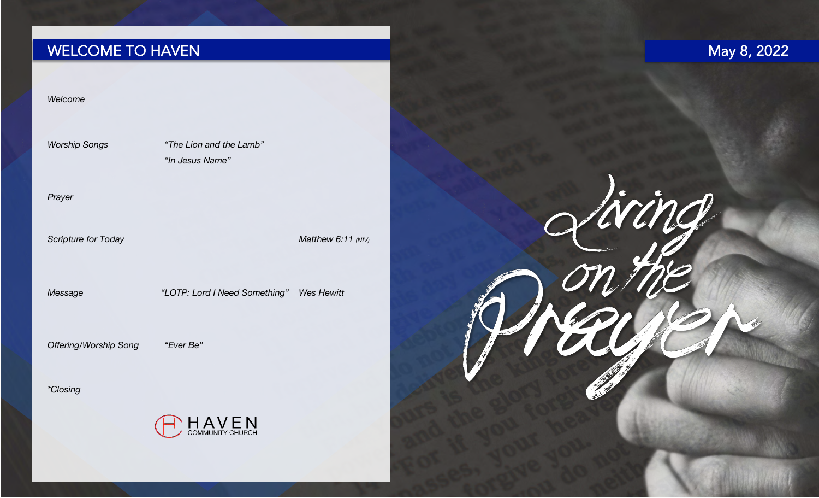## WELCOME TO HAVEN

# May 8, 2022

Liring

#### *Welcome*

*Worship Songs "The Lion and the Lamb" "In Jesus Name"* 

*Prayer*

*Scripture for Today Matthew 6:11 (NIV)*

*Message "LOTP: Lord I Need Something" Wes Hewitt*

*Offering/Worship Song "Ever Be"* 

*\*Closing*